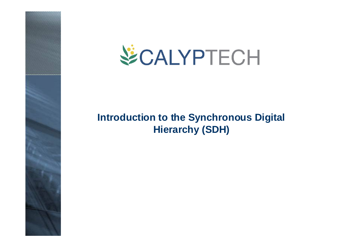



### **Introduction to the Synchronous Digital Hierarchy (SDH)**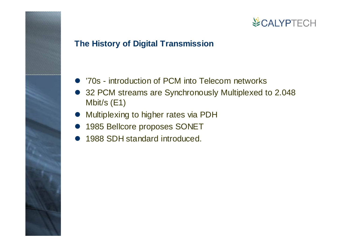### **The History of Digital Transmission**

- '70s introduction of PCM into Telecom networks
- 32 PCM streams are Synchronously Multiplexed to 2.048 Mbit/s (E1)
- $\bullet$ Multiplexing to higher rates via PDH
- 1985 Bellcore proposes SONET
- $\bullet$ 1988 SDH standard introduced.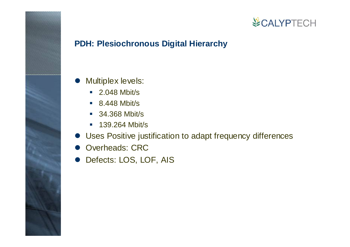### **PDH: Plesiochronous Digital Hierarchy**

- Multiplex levels:
	- 2.048 Mbit/s
	- 8.448 Mbit/s
	- 34.368 Mbit/s
	- 139.264 Mbit/s
- Uses Positive justification to adapt frequency differences
- $\bullet$ Overheads: CRC
- Defects: LOS, LOF, AIS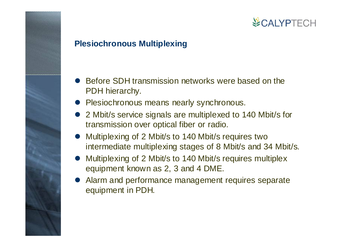### **Plesiochronous Multiplexing**

- $\bullet$  Before SDH transmission networks were based on the PDH hierarchy.
- $\bullet$ Plesiochronous means nearly synchronous.
- $\bullet$  2 Mbit/s service signals are multiplexed to 140 Mbit/s for transmission over optical fiber or radio.
- $\bullet$  Multiplexing of 2 Mbit/s to 140 Mbit/s requires two intermediate multiplexing stages of 8 Mbit/s and 34 Mbit/s.
- $\bullet$  Multiplexing of 2 Mbit/s to 140 Mbit/s requires multiplex equipment known as 2, 3 and 4 DME.
- $\bullet$  Alarm and performance management requires separate equipment in PDH.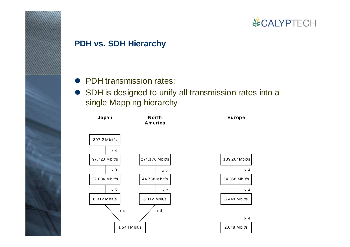#### **PDH vs. SDH Hierarchy**

- PDH transmission rates:
- SDH is designed to unify all transmission rates into a single Mapping hierarchy

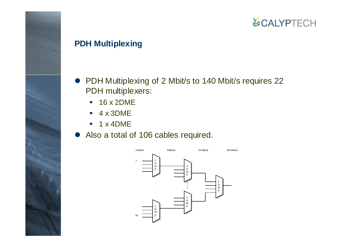### **PDH Multiplexing**

- PDH Multiplexing of 2 Mbit/s to 140 Mbit/s requires 22 PDH multiplexers:
	- 16 x 2DME
	- $-4 \times 3$ DME
	- $\mathcal{L}_{\mathcal{A}}$ 1 x 4DME
- Also a total of 106 cables required.

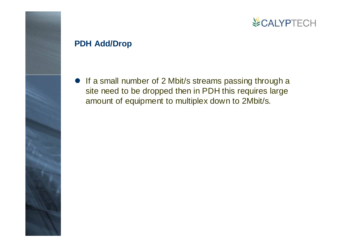### **PDH Add/Drop**

• If a small number of 2 Mbit/s streams passing through a site need to be dropped then in PDH this requires large amount of equipment to multiplex down to 2Mbit/s.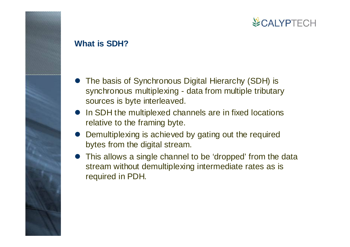#### **What is SDH?**

- The basis of Synchronous Digital Hierarchy (SDH) is synchronous multiplexing - data from multiple tributary sources is byte interleaved.
- In SDH the multiplexed channels are in fixed locations relative to the framing byte.
- $\bullet$  Demultiplexing is achieved by gating out the required bytes from the digital stream.
- This allows a single channel to be 'dropped' from the data stream without demultiplexing intermediate rates as is required in PDH.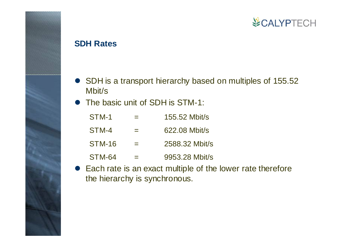#### **SDH Rates**

- SDH is a transport hierarchy based on multiples of 155.52 Mbit/s
- $\bullet$ The basic unit of SDH is STM-1:

| STM-1  | $=$      | $155.52$ Mbit/s |
|--------|----------|-----------------|
| STM-4  | $\equiv$ | 622.08 Mbit/s   |
| STM-16 |          | 2588.32 Mbit/s  |
| STM-64 |          | 9953.28 Mbit/s  |

 $\bullet$  Each rate is an exact multiple of the lower rate therefore the hierarchy is synchronous.

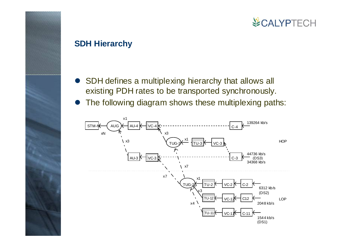#### **SDH Hierarchy**

- $\bullet$  SDH defines a multiplexing hierarchy that allows all existing PDH rates to be transported synchronously.
- $\bullet$ The following diagram shows these multiplexing paths:

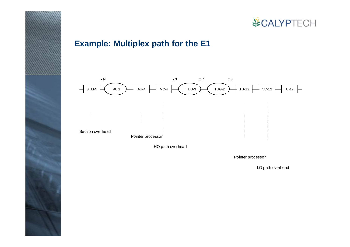

### **Example: Multiplex path for the E1**



Pointer processor

LO path overhead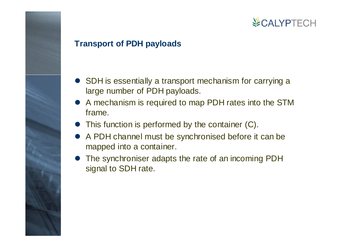### **Transport of PDH payloads**

- SDH is essentially a transport mechanism for carrying a large number of PDH payloads.
- $\bullet$  A mechanism is required to map PDH rates into the STM frame.
- $\bullet$ This function is performed by the container (C).
- $\bullet$  A PDH channel must be synchronised before it can be mapped into a container.
- $\bullet$  The synchroniser adapts the rate of an incoming PDH signal to SDH rate.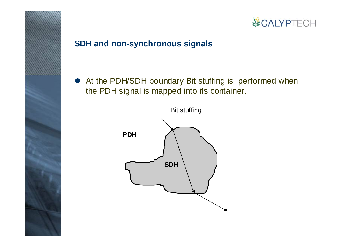

### **SDH and non-synchronous signals**

• At the PDH/SDH boundary Bit stuffing is performed when the PDH signal is mapped into its container.

**VECALYPTECH** 

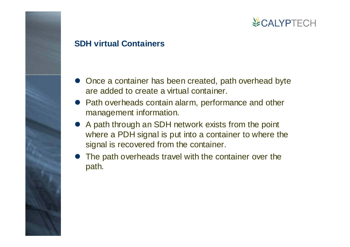#### **SDH virtual Containers**

- Once a container has been created, path overhead byte are added to create a virtual container.
- Path overheads contain alarm, performance and other management information.
- $\bullet$  A path through an SDH network exists from the point where a PDH signal is put into a container to where the signal is recovered from the container.
- The path overheads travel with the container over the path.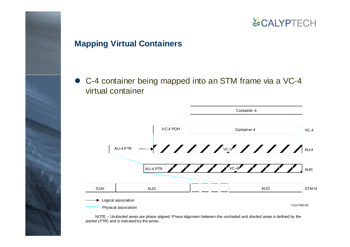### **Mapping Virtual Containers**

• C-4 container being mapped into an STM frame via a VC-4 virtual container



 NOTE – Unshaded areas are phase aligned. Phase alignment between the unshaded and shaded areas is defined by the pointer (PTR) and is indicated by the arrow.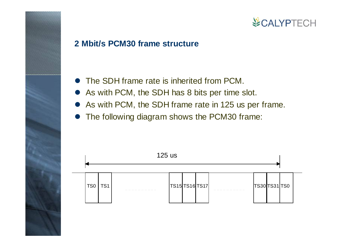### **2 Mbit/s PCM30 frame structure**

- The SDH frame rate is inherited from PCM.
- As with PCM, the SDH has 8 bits per time slot.
- As with PCM, the SDH frame rate in 125 us per frame.
- The following diagram shows the PCM30 frame:

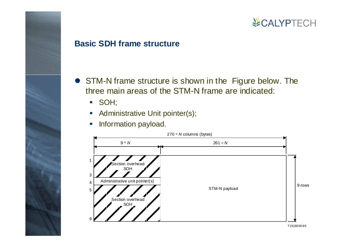#### **Basic SDH frame structure**

- STM-N frame structure is shown in the Figure below. The three main areas of the STM-N frame are indicated:
	- SOH;
	- **Administrative Unit pointer(s);**
	- $\blacksquare$ Information payload.



T1518000-95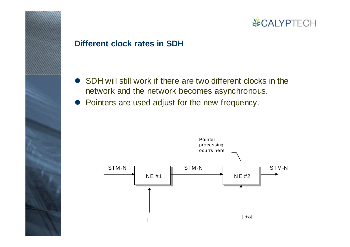### **Different clock rates in SDH**

- $\bullet$  SDH will still work if there are two different clocks in the network and the network becomes asynchronous.
- Pointers are used adjust for the new frequency.

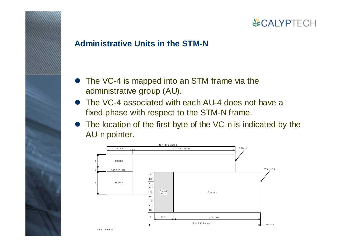### **Administrative Units in the STM-N**

- The VC-4 is mapped into an STM frame via the administrative group (AU).
- $\bullet$  The VC-4 associated with each AU-4 does not have a fixed phase with respect to the STM-N frame.
- $\bullet$  The location of the first byte of the VC-n is indicated by the AU-n pointer.



PTR Pointer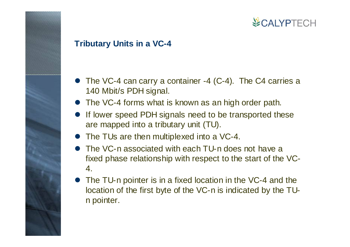### **Tributary Units in a VC-4**

- $\bullet$  The VC-4 can carry a container -4 (C-4). The C4 carries a 140 Mbit/s PDH signal.
- $\bullet$ The VC-4 forms what is known as an high order path.
- $\bullet$  If lower speed PDH signals need to be transported these are mapped into a tributary unit (TU).
- The TUs are then multiplexed into a VC-4.
- $\bullet$  The VC-n associated with each TU-n does not have a fixed phase relationship with respect to the start of the VC-4.
- $\bullet$  The TU-n pointer is in a fixed location in the VC-4 and the location of the first byte of the VC-n is indicated by the TUn pointer.

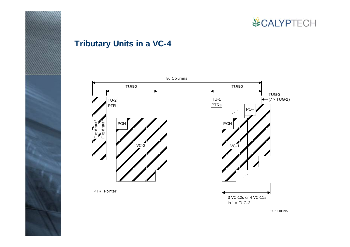

### **Tributary Units in a VC-4**

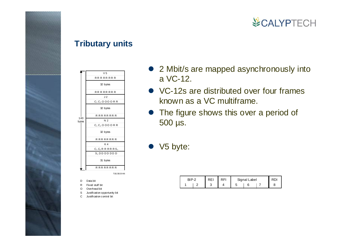#### **Tributary units**

|       | V <sub>5</sub>        |
|-------|-----------------------|
|       | <b>RRRRRRRR</b>       |
|       | 32 bytes              |
|       | RR R R R R R R        |
|       | J <sub>2</sub>        |
|       | $C_1 C_2 O O O O R R$ |
|       | 32 bytes              |
| 140   | R R R R R R R R       |
| bytes | N <sub>2</sub>        |
|       | $C_1 C_2 O O O O R R$ |
|       | 32 bytes              |
|       | R R R R R R R R       |
|       | K4                    |
|       | $C_1 C_2 R R R R S_1$ |
|       | $S_2$ DDDDDDD         |
|       | 31 bytes              |
|       | <b>R R R R R R R</b>  |
|       | T1523020-96           |
|       |                       |
| D     | Data bit              |

Fixed stuff bitOverhead bit

ROS $\cap$ 

Justification opportunity bit Justification control bit

- 2 Mbit/s are mapped asynchronously into a VC-12.
- VC-12s are distributed over four frames known as a VC multiframe.
- The figure shows this over a period of 500 µs.
- $\bullet\;$  V5 byte:

| RIP-2 | RFI | Signal Label |  |
|-------|-----|--------------|--|
|       |     |              |  |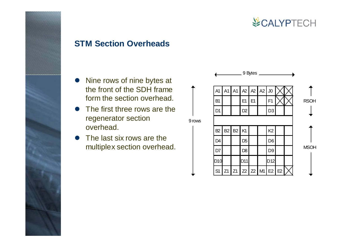

#### **STM Section Overheads**

- Nine rows of nine bytes at the front of the SDH frame form the section overhead.
- $\bullet$  The first three rows are the regenerator section overhead.
- $\bullet$  The last six rows are the multiplex section overhead.

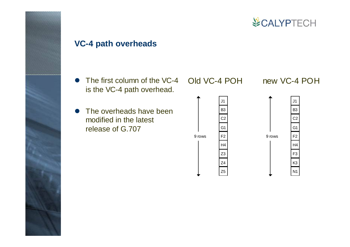

J1

B3

C2

F2

G1

H4

F3

K3

N1

### **VC-4 path overheads**

- $\bullet$  The first column of the VC-4 is the VC-4 path overhead.
- $\bullet$  The overheads have been modified in the latest release of G.707

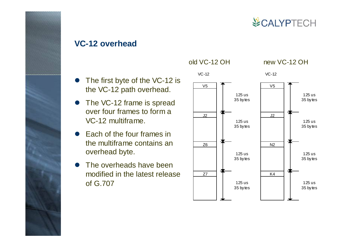

#### **VC-12 overhead**

- $\bullet$  The first byte of the VC-12 is the VC-12 path overhead.
- The VC-12 frame is spread over four frames to form a VC-12 multiframe.
- $\bullet$  Each of the four frames in the multiframe contains an overhead byte.
- $\bullet$  The overheads have been modified in the latest release of G.707

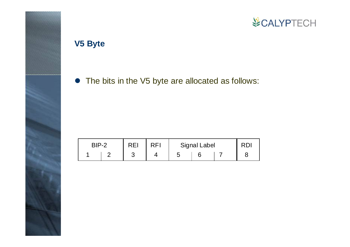

### **V5 Byte**

• The bits in the V5 byte are allocated as follows:

| RIP-2 | <b>REI</b> | RFI | <b>Signal Label</b> |  |
|-------|------------|-----|---------------------|--|
|       |            |     |                     |  |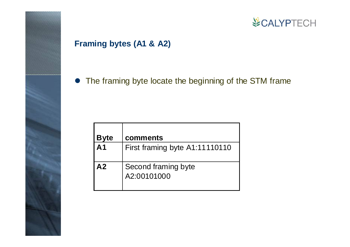### **Framing bytes (A1 & A2)**

• The framing byte locate the beginning of the STM frame

| <b>Byte</b>    | comments                           |
|----------------|------------------------------------|
| A <sub>1</sub> | First framing byte A1:11110110     |
| A <sub>2</sub> | Second framing byte<br>A2:00101000 |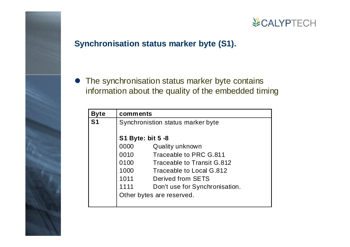### **Synchronisation status marker byte (S1).**

 $\bullet$  The synchronisation status marker byte contains information about the quality of the embedded timing

| <b>Byte</b>    | comments                 |                                   |
|----------------|--------------------------|-----------------------------------|
| S <sub>1</sub> |                          | Synchronistion status marker byte |
|                |                          |                                   |
|                | <b>S1 Byte: bit 5 -8</b> |                                   |
|                | 0000                     | Quality unknown                   |
|                | 0010                     | Traceable to PRC G.811            |
|                | 0100                     | Traceable to Transit G.812        |
|                | 1000                     | Traceable to Local G.812          |
|                | 1011                     | Derived from SETS                 |
|                | 1111                     | Don't use for Synchronisation.    |
|                |                          | Other bytes are reserved.         |
|                |                          |                                   |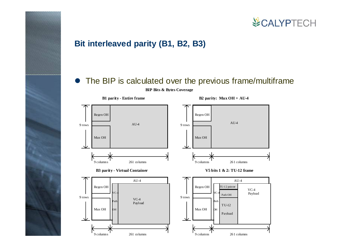

### **Bit interleaved parity (B1, B2, B3)**

#### • The BIP is calculated over the previous frame/multiframe



**BIP Bits & B ytes Covera ge**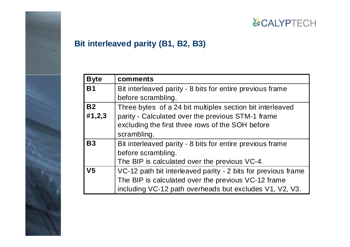

### **Bit interleaved parity (B1, B2, B3)**

| <b>Byte</b>    | comments                                                      |
|----------------|---------------------------------------------------------------|
| <b>B1</b>      | Bit interleaved parity - 8 bits for entire previous frame     |
|                | before scrambling.                                            |
| <b>B2</b>      | Three bytes of a 24 bit multiplex section bit interleaved     |
| #1,2,3         | parity - Calculated over the previous STM-1 frame             |
|                | excluding the first three rows of the SOH before              |
|                | scrambling.                                                   |
| <b>B3</b>      | Bit interleaved parity - 8 bits for entire previous frame     |
|                | before scrambling.                                            |
|                | The BIP is calculated over the previous VC-4.                 |
| V <sub>5</sub> | VC-12 path bit interleaved parity - 2 bits for previous frame |
|                | The BIP is calculated over the previous VC-12 frame           |
|                | including VC-12 path overheads but excludes V1, V2, V3.       |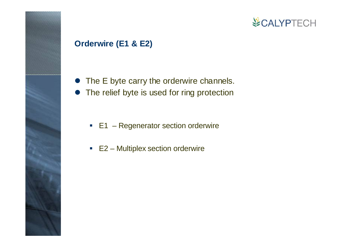### **Orderwire (E1 & E2)**

- $\bullet$  The E byte carry the orderwire channels.
- The relief byte is used for ring protection
	- E1 Regenerator section orderwire
	- E2 Multiplex section orderwire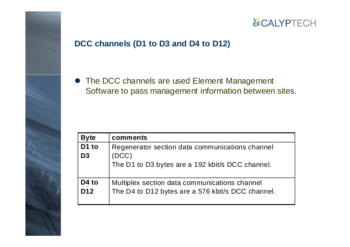

### **DCC channels (D1 to D3 and D4 to D12)**

• The DCC channels are used Element Management Software to pass management information between sites.

| <b>Byte</b>       | comments                                          |
|-------------------|---------------------------------------------------|
| D <sub>1</sub> to | Regenerator section data communications channel   |
| D <sub>3</sub>    | (DCC)                                             |
|                   | The D1 to D3 bytes are a 192 kbit/s DCC channel.  |
| D <sub>4</sub> to | Multiplex section data communications channel     |
| D <sub>12</sub>   | The D4 to D12 bytes are a 576 kbit/s DCC channel. |
|                   |                                                   |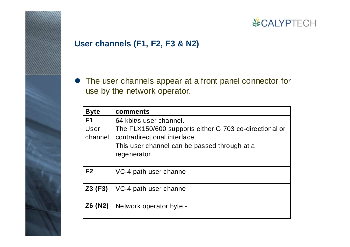### **User channels (F1, F2, F3 & N2)**

• The user channels appear at a front panel connector for use by the network operator.

| <b>Byte</b>     | comments                                                                               |
|-----------------|----------------------------------------------------------------------------------------|
| F <sub>1</sub>  | 64 kbit/s user channel.                                                                |
| User<br>channel | The FLX150/600 supports either G.703 co-directional or<br>contradirectional interface. |
|                 | This user channel can be passed through at a<br>regenerator.                           |
| F <sub>2</sub>  | VC-4 path user channel                                                                 |
| $Z3$ (F3)       | VC-4 path user channel                                                                 |
| Z6 (N2)         | Network operator byte -                                                                |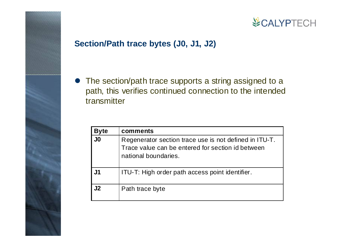

### **Section/Path trace bytes (J0, J1, J2)**

• The section/path trace supports a string assigned to a path, this verifies continued connection to the intended transmitter

| <b>Byte</b>    | comments                                                                                                                            |
|----------------|-------------------------------------------------------------------------------------------------------------------------------------|
| J <sub>0</sub> | Regenerator section trace use is not defined in ITU-T.<br>Trace value can be entered for section id between<br>national boundaries. |
| J1             | ITU-T: High order path access point identifier.                                                                                     |
| J2             | Path trace byte                                                                                                                     |

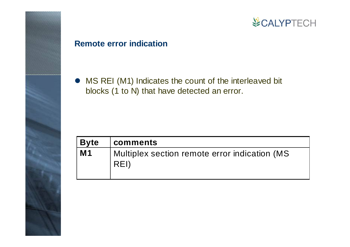

#### **Remote error indication**

• MS REI (M1) Indicates the count of the interleaved bit blocks (1 to N) that have detected an error.

| Byte           | <b>comments</b>                                       |
|----------------|-------------------------------------------------------|
| M <sub>1</sub> | Multiplex section remote error indication (MS<br>REI) |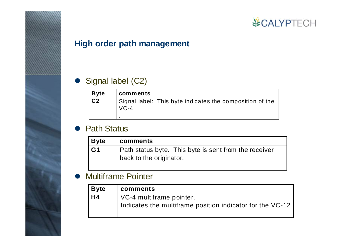### **High order path management**

### • Signal label (C2)

| Byte    | comments                                                           |
|---------|--------------------------------------------------------------------|
| $ c_2 $ | Signal label: This byte indicates the composition of the<br>$VC-4$ |

#### $\bullet$ Path Status

| Byte | comments                                              |
|------|-------------------------------------------------------|
| l G1 | Path status byte. This byte is sent from the receiver |
|      | back to the originator.                               |

#### $\bullet$ Multiframe Pointer

| <b>Byte</b>    | comments                                                                              |
|----------------|---------------------------------------------------------------------------------------|
| H <sub>4</sub> | VC-4 multiframe pointer.<br>Indicates the multiframe position indicator for the VC-12 |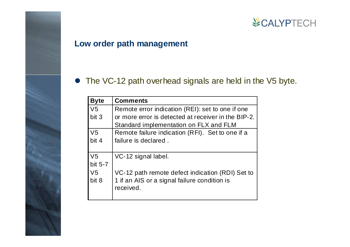### **Low order path management**

### • The VC-12 path overhead signals are held in the V5 byte.

| <b>Byte</b>    | <b>Comments</b>                                     |
|----------------|-----------------------------------------------------|
| V <sub>5</sub> | Remote error indication (REI): set to one if one    |
| bit 3          | or more error is detected at receiver in the BIP-2. |
|                | Standard implementation on FLX and FLM              |
| V <sub>5</sub> | Remote failure indication (RFI). Set to one if a    |
| bit 4          | failure is declared.                                |
|                |                                                     |
| V <sub>5</sub> | VC-12 signal label.                                 |
| bit 5-7        |                                                     |
| V5             | VC-12 path remote defect indication (RDI) Set to    |
| bit 8          | 1 if an AIS or a signal failure condition is        |
|                | received.                                           |
|                |                                                     |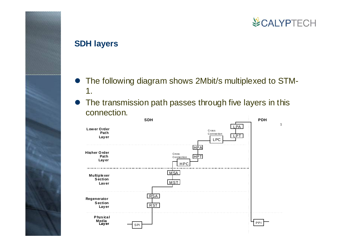#### **SDH layers**

- The following diagram shows 2Mbit/s multiplexed to STM-1.
- $\bullet$  The transmission path passes through five layers in this connection.

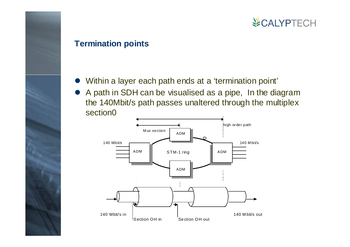#### **Termination points**

- Within a layer each path ends at a 'termination point'
- $\bullet$  A path in SDH can be visualised as a pipe, In the diagram the 140Mbit/s path passes unaltered through the multiplex section0

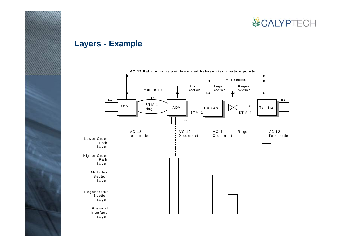

### **Layers - Example**

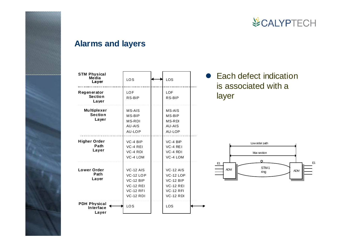

#### **Alarms and layers**

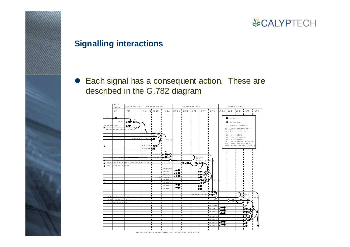### **Signalling interactions**

 $\bullet$  Each signal has a consequent action. These are described in the G.782 diagram

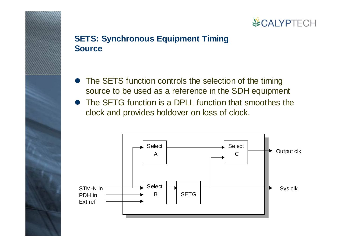### **SETS: Synchronous Equipment Timing Source**

- The SETS function controls the selection of the timing source to be used as a reference in the SDH equipment
- $\bullet$  The SETG function is a DPLL function that smoothes the clock and provides holdover on loss of clock.